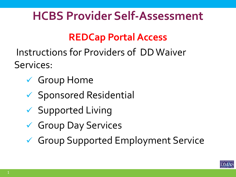### **HCBS Provider Self-Assessment**

#### **REDCap Portal Access**

Instructions for Providers of DD Waiver Services:

- Group Home
- $\checkmark$  Sponsored Residential
- $\checkmark$  Supported Living
- Group Day Services
- Group Supported Employment Service

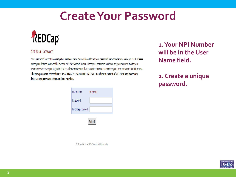#### **Create Your Password**



#### Set Your Password

Your password has not been set yet or has been reset. You will need to set your password here to whatever value you wish. Please enter your desired password below and click the 'Submit' button. Once your password has been set, you may use it with your username whenever you log in to REDCap. Please make sure that you write down or remember your new password for future use. The new password entered must be AT LEAST 9 CHARACTERS IN LENGTH and must consist of AT LEAST one lower-case letter, one upper-case letter, and one number.

| Username:         | tmprov1 |
|-------------------|---------|
| Password:         |         |
| Re-type password: |         |
|                   |         |

Submit

REDCap 7.4.5 - @ 2017 Vanderbilt University

**1.Your NPI Number will be in the User Name field.**

**2. Create a unique password.**

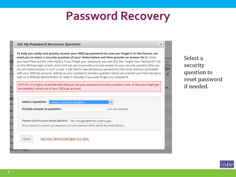### **Password Recovery**

|         | <b>Set Up Password Recovery Question</b>                                                                                                                                                                                                                                                                                                                                                                                                                                                                                                                                                                                                                                                                                                                                    | $\mathbb{X}$ |
|---------|-----------------------------------------------------------------------------------------------------------------------------------------------------------------------------------------------------------------------------------------------------------------------------------------------------------------------------------------------------------------------------------------------------------------------------------------------------------------------------------------------------------------------------------------------------------------------------------------------------------------------------------------------------------------------------------------------------------------------------------------------------------------------------|--------------|
| сt<br>s | To help you easily and quickly recover your REDCap password (in case you forget it in the future), we<br>need you to select a security question of your choice below and then provide an answer for it. Once<br>you have filled out this information, if you forget your password, you can click the 'Forgot Your Password?' link<br>on the REDCap login screen, and it will ask you to provide a correct answer to your security question (the one<br>you will select below). In such a case, it will send a new temporary password to the email address associated<br>with your REDCap account. Setting up your password recovery question below will prevent you from having to<br>wait on a REDCap administrator to reset it manually if you ever forgot your password. |              |
|         | NOTICE: It is highly recommended that you set your password recovery question now, or else you might get<br>accidentally locked out of your REDCap account.                                                                                                                                                                                                                                                                                                                                                                                                                                                                                                                                                                                                                 |              |
| e       | Select a question: - select a security question -<br>◡                                                                                                                                                                                                                                                                                                                                                                                                                                                                                                                                                                                                                                                                                                                      |              |
| τ,      | <b>Provide answer to question:</b><br>(not case sensitive)                                                                                                                                                                                                                                                                                                                                                                                                                                                                                                                                                                                                                                                                                                                  |              |
| Эľ      | Please confirm your email address:   teri.morgan@dmas.virginia.gov<br>(If you attempt to recover your password, your new password will be sent to this email address.)                                                                                                                                                                                                                                                                                                                                                                                                                                                                                                                                                                                                      |              |
| ū       | Not now. Remind me again in 2 days.<br>Save                                                                                                                                                                                                                                                                                                                                                                                                                                                                                                                                                                                                                                                                                                                                 |              |

Select a security question to reset password if needed.

≂

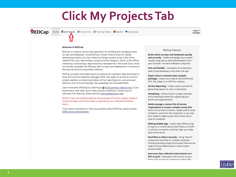### **Click My Projects Tab**

REDCap

Home **E**My Projects **O** Help & FAQ **H** Training Videos **M** Send-It ■ Messenger

#### Logged in tmorgan

#### **Welcome to REDCap!**

REDCap is a mature, secure web application for building and managing online surveys and databases. Using REDCap's stream-lined process for rapidly developing projects, you may create and design projects using 1) the online method from your web browser using the Online Designer; and/or 2) the offline method by constructing a 'data dictionary' template file in Microsoft Excel, which can be later uploaded into REDCap. Both surveys and databases (or a mixture of the two) can be built using these methods.

REDCap provides automated export procedures for seamless data downloads to Excel and common statistical packages (SPSS, SAS, Stata, R), as well as a built-in project calendar, a scheduling module, ad hoc reporting tools, and advanced features, such as branching logic, file uploading, and calculated fields.

Learn more about REDCap by watching a co brief summary video (4 min). If you would like to view other quick video tutorials of REDCap in action and an overview of its features, please see the Training Resources page.

NOTICE: If you are collecting data for the purposes of human subjects research, review and approval of the project is required by your Institutional Review Board.

If you require assistance or have any questions about REDCap, please contact DMAS Survey Administrator.

#### **REDCap Features**

**Build online surveys and databases quickly** and securely - Create and design your project rapidly using secure web authentication from your browser. No extra software is required.

Fast and flexible - Conception to productionlevel survey/database in less than one day.

**Export data to common data analysis** packages - Export your data to Microsoft Excel, PDF, SAS, Stata, R, or SPSS for analysis.

Ad Hoc Reporting - Create custom queries for generating reports to view or download.

Scheduling - Utilize a built-in project calendar and scheduling module for organizing your events and appointments.

Easily manage a contact list of survey respondents or create a simple survey link -Build a list of email contacts, create custom email invitations, and track who responds, or you may also create a single survey link to email out or post on a website.

REDCap Mobile App - Collect data offline using an app on a mobile device when there is no WiFi or cellular connection, and then later sync data back to the server.

Send files to others securely - Using 'Send-It', upload and send files to multiple recipients, including existing project documents, that are too large for email attachments or that contain sensitive data.

Save your data collection instruments as a PDF to print - Generate a PDF version of your forms and surveys for printing to collect data

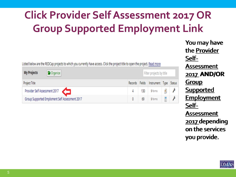### **Click Provider Self Assessment 2017 OR Group Supported Employment Link**

Listed below are the REDCap projects to which you currently have access. Click the project title to open the project. Read more

| <b>My Projects</b><br><b>G</b> Organize        | Filter projects by title |     |                                       |  |  |
|------------------------------------------------|--------------------------|-----|---------------------------------------|--|--|
| Project Title                                  |                          |     | Records Fields Instrument Type Status |  |  |
| Provider Self Assessment 2017                  |                          | 130 | 5 forms                               |  |  |
| Group Supported Emploment Self Assessment 2017 |                          | θ   | 5 forms                               |  |  |

You may have You may have the <u>Provider</u> Self-Self-Assessment 2017 **AND/OR**  2017 **AND/OR**  Group Group Supported Supported Employment Self-Self-Assessment 2017 depending 2017 depending on the services on the services you provide. you provide.

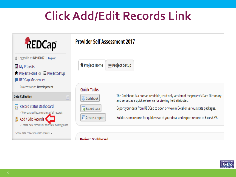# **Click Add/Edit Records Link**



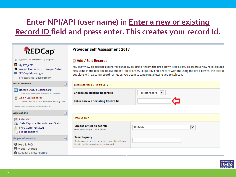#### **Enter NPI/API (user name) in Enter a new or existing Record ID field and press enter. This creates your record Id.**





 $\checkmark$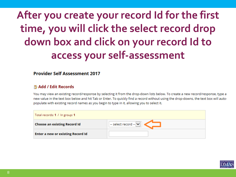### **After you create your record Id for the first time, you will click the select record drop down box and click on your record Id to access your self-assessment**

#### **Provider Self Assessment 2017**

#### ■ Add / Edit Records

You may view an existing record/response by selecting it from the drop-down lists below. To create a new record/response, type a new value in the text box below and hit Tab or Enter. To quickly find a record without using the drop-downs, the text box will autopopulate with existing record names as you begin to type in it, allowing you to select it.

| Total records: 1 / In group: 1           |                                            |  |
|------------------------------------------|--------------------------------------------|--|
| <b>Choose an existing Record Id</b>      | $-$ select record $ \vert \bm{\vee} \vert$ |  |
| <b>Enter a new or existing Record Id</b> |                                            |  |

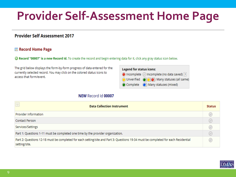# **Provider Self-Assessment Home Page**

#### **Provider Self Assessment 2017**

#### **E** Record Home Page

**C** Record "00007" is a new Record Id. To create the record and begin entering data for it, click any gray status icon below.

The grid below displays the form-by-form progress of data entered for the currently selected record. You may click on the colored status icons to access that form/event.

| <b>Legend for status icons:</b> |                                              |  |
|---------------------------------|----------------------------------------------|--|
|                                 | O Incomplete ( Incomplete (no data saved) ?  |  |
|                                 | O Unverified (O) O) Many statuses (all same) |  |
|                                 | Complete (C) Many statuses (mixed)           |  |

#### NEW Record Id 00007

| 모<br><b>Data Collection Instrument</b>                                                                                                              | <b>Status</b> |
|-----------------------------------------------------------------------------------------------------------------------------------------------------|---------------|
| Provider Information                                                                                                                                |               |
| Contact Person                                                                                                                                      |               |
| Services/Settings                                                                                                                                   |               |
| Part 1: Questions 1-11 must be completed one time by the provider organization.                                                                     |               |
| Part 2: Questions 12-18 must be completed for each setting/site and Part 3: Questions 19-34 must be completed for each Residential<br>setting/site. |               |

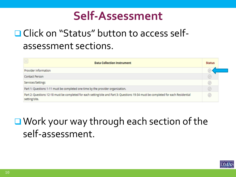#### **Self-Assessment**

#### **□ Click on "Status" button to access self**assessment sections.

| <b>Data Collection Instrument</b>                                                                                                                   | <b>Status</b> |
|-----------------------------------------------------------------------------------------------------------------------------------------------------|---------------|
| Provider Information                                                                                                                                |               |
| Contact Person                                                                                                                                      |               |
| Services/Settings                                                                                                                                   |               |
| Part 1: Questions 1-11 must be completed one time by the provider organization.                                                                     | ÆΤ            |
| Part 2: Questions 12-18 must be completed for each setting/site and Part 3: Questions 19-34 must be completed for each Residential<br>setting/site. | ×             |

#### ■ Work your way through each section of the self-assessment.

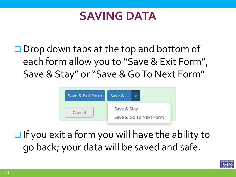#### **SAVING DATA**

 $\Box$  Drop down tabs at the top and bottom of each form allow you to "Save & Exit Form", Save & Stay" or "Save & Go To Next Form"



 $\Box$  If you exit a form you will have the ability to go back; your data will be saved and safe.

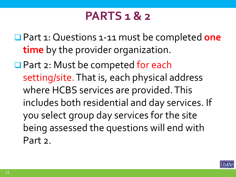#### **PARTS 1 & 2**

 Part 1: Questions 1-11 must be completed **one time** by the provider organization.

**□ Part 2: Must be competed for each** setting/site. That is, each physical address where HCBS services are provided. This includes both residential and day services. If you select group day services for the site being assessed the questions will end with Part 2.

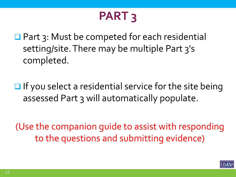# **PART 3**

■ Part 3: Must be competed for each residential setting/site. There may be multiple Part 3's completed.

 $\Box$  If you select a residential service for the site being assessed Part 3 will automatically populate.

(Use the companion guide to assist with responding to the questions and submitting evidence)

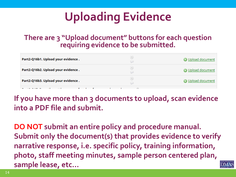# **Uploading Evidence**

#### **There are 3 "Upload document" buttons for each question requiring evidence to be submitted.**

| Part2-Q16b1. Upload your evidence . | $\left( \begin{matrix} 1 \end{matrix} \right)$<br>w | O Upload document        |
|-------------------------------------|-----------------------------------------------------|--------------------------|
| Part2-Q16b2. Upload your evidence . | (H)<br>پ                                            | O Upload document        |
| Part2-Q16b3. Upload your evidence . | (H)<br>$\displaystyle\bigcirc$                      | <b>@</b> Upload document |

**If you have more than 3 documents to upload, scan evidence into a PDF file and submit.**

**DO NOT submit an entire policy and procedure manual. Submit only the document(s) that provides evidence to verify narrative response, i.e. specific policy, training information, photo, staff meeting minutes, sample person centered plan, sample lease, etc…**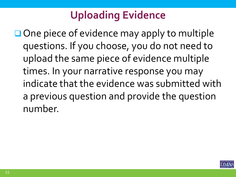### **Uploading Evidence**

 $\Box$  One piece of evidence may apply to multiple questions. If you choose, you do not need to upload the same piece of evidence multiple times. In your narrative response you may indicate that the evidence was submitted with a previous question and provide the question number.

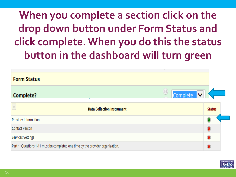### **When you complete a section click on the drop down button under Form Status and click complete. When you do this the status button in the dashboard will turn green**

| <b>Form Status</b>                                                              |                 |
|---------------------------------------------------------------------------------|-----------------|
| Complete?                                                                       | U<br>Complete V |
| $\triangledown$<br><b>Data Collection Instrument</b>                            | <b>Status</b>   |
| Provider Information                                                            |                 |
| Contact Person                                                                  |                 |
| Services/Settings                                                               |                 |
| Part 1: Questions 1-11 must be completed one time by the provider organization. |                 |

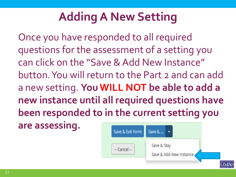# **Adding A New Setting**

Once you have responded to all required questions for the assessment of a setting you can click on the "Save & Add New Instance" button. You will return to the Part 2 and can add a new setting. **You WILL NOT be able to add a new instance until all required questions have been responded to in the current setting you are assessing.** 

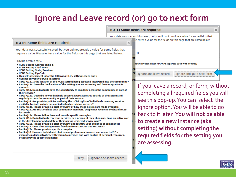#### **Ignore and Leave record (or) go to next form**



- . Part2-Q13. Do individuals have the opportunity to regularly access the community as part of their service?
- . Part2-013a. Describe how individuals become aware activities outside of the setting and regularly access the community as part of their service:
- . Part2-014. Are provider policies outlining the HCBS rights of individuals receiving services available to staff, volunteers and individuals receiving services?
- . Part2-014a. Please provide a brief overview of how those policies are made available:
- . Part2-015. Are relationships with community members/people not receiving Medicaid HCBS fostered?
- . Part2-Q15a. Please tell us how and provide specific examples:
- . Part2-016. Do individuals receiving services, or a person of their choosing, have an active role in the development and update of their person-centered service plan?
- . Part2-016a. Please provide a brief overview and identify your evidence of compliance:
- . Part2-Q17. Does the setting ensure freedom from coercion and restraint?
- . Part2-Q17a. Please provide specific examples:

**NOTE: Some fields are required!** 

Provide a value for...

assured:

• HCBS Setting Address (Line 1) • HCBS Setting City/ Town • HCBS Setting State/Province • HCBS Setting Zip Code

. Number currently served in setting

. Part2-Q18. How are individuals' choices and preferences honored and respected? For example, in daily activities, with whom to interact, and with control of personal resources. Please provide specific examples:

#### completing all required fields you will see this pop-up. You can select the ignore option. You will be able to go back to it later. **You will not be able to create a new instance (aka setting) without completing the required fields for the setting you are assessing.**

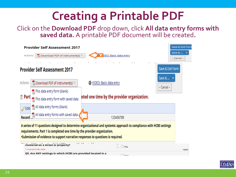# **Creating a Printable PDF**

Click on the **Download PDF** drop down, click **All data entry forms with saved data.** A printable PDF document will be created**.** 



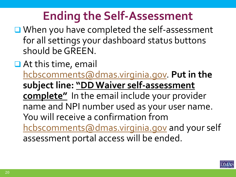# **Ending the Self-Assessment**

- When you have completed the self-assessment for all settings your dashboard status buttons should be GREEN.
- **□** At this time, email [hcbscomments@dmas.virginia.gov](mailto:hcbscomments@dmas.virginia.gov). **Put in the subject line: "DD Waiver self-assessment complete"** In the email include your provider name and NPI number used as your user name. You will receive a confirmation from [hcbscomments@dmas.virginia.gov](mailto:hcbscomments@dmas.virginia.gov) and your self assessment portal access will be ended.